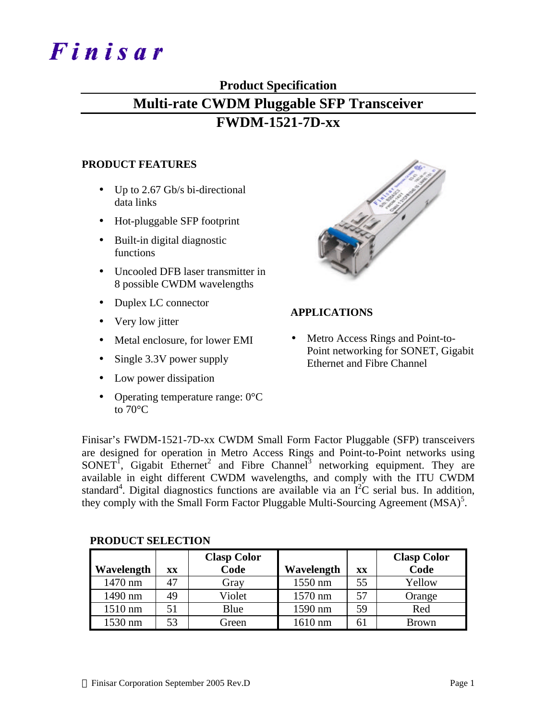# Finisar

## **Product Specification**

# **Multi-rate CWDM Pluggable SFP Transceiver**

## **FWDM-1521-7D-xx**

## **PRODUCT FEATURES**

- Up to 2.67 Gb/s bi-directional data links
- Hot-pluggable SFP footprint
- Built-in digital diagnostic functions
- Uncooled DFB laser transmitter in 8 possible CWDM wavelengths
- Duplex LC connector
- Very low jitter
- Metal enclosure, for lower EMI
- Single 3.3V power supply
- Low power dissipation
- Operating temperature range: 0°C to 70°C



## **APPLICATIONS**

• Metro Access Rings and Point-to-Point networking for SONET, Gigabit Ethernet and Fibre Channel

Finisar's FWDM-1521-7D-xx CWDM Small Form Factor Pluggable (SFP) transceivers are designed for operation in Metro Access Rings and Point-to-Point networks using  $SONET<sup>T</sup>$ , Gigabit Ethernet<sup>2</sup> and Fibre Channel<sup>3</sup> networking equipment. They are available in eight different CWDM wavelengths, and comply with the ITU CWDM standard<sup>4</sup>. Digital diagnostics functions are available via an  $\overline{I}^2C$  serial bus. In addition, they comply with the Small Form Factor Pluggable Multi-Sourcing Agreement  $(MSA)^5$ .

| Wavelength | XX | <b>Clasp Color</b><br>Code | Wavelength | XX | <b>Clasp Color</b><br>Code |
|------------|----|----------------------------|------------|----|----------------------------|
| 1470 nm    | 47 | Gray                       | 1550 nm    | 55 | Yellow                     |
| 1490 nm    | 49 | Violet                     | 1570 nm    | 57 | Orange                     |
| 1510 nm    | 51 | Blue                       | 1590 nm    | 59 | Red                        |
| 1530 nm    | 53 | Green                      | 1610 nm    | 61 | <b>Brown</b>               |

### **PRODUCT SELECTION**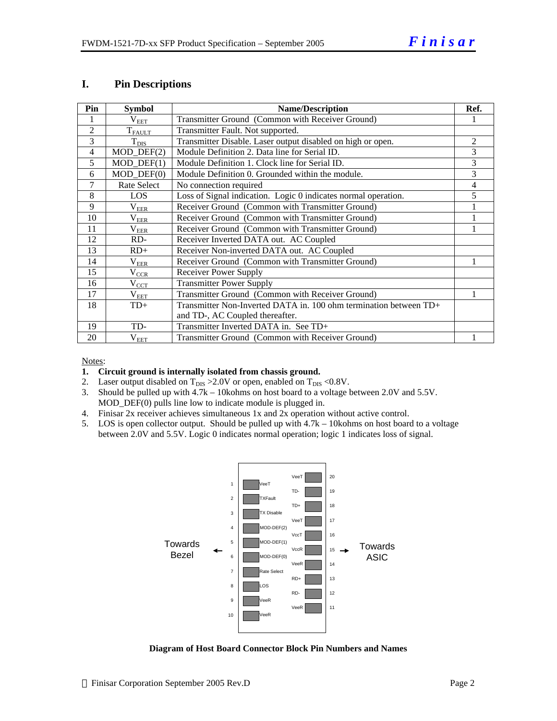#### **I. Pin Descriptions**

| Pin            | <b>Symbol</b>               | <b>Name/Description</b>                                               | Ref.           |
|----------------|-----------------------------|-----------------------------------------------------------------------|----------------|
|                | $\rm V_{EET}$               | Transmitter Ground (Common with Receiver Ground)                      |                |
| $\overline{2}$ | $T_{FAULT}$                 | Transmitter Fault. Not supported.                                     |                |
| 3              | $T_{\rm DIS}$               | Transmitter Disable. Laser output disabled on high or open.           | $\overline{c}$ |
| $\overline{4}$ | $MOD_$ DEF(2)               | Module Definition 2. Data line for Serial ID.                         | 3              |
| 5              | $MOD_$ <del>DEF</del> $(1)$ | Module Definition 1. Clock line for Serial ID.                        | 3              |
| 6              | $MOD_$ DEF $(0)$            | Module Definition 0. Grounded within the module.                      | 3              |
| 7              | <b>Rate Select</b>          | No connection required                                                | 4              |
| 8              | LOS                         | Loss of Signal indication. Logic 0 indicates normal operation.        | 5              |
| 9              | $\rm V_{EER}$               | Receiver Ground (Common with Transmitter Ground)                      |                |
| 10             | $\rm V_{\rm EER}$           | Receiver Ground (Common with Transmitter Ground)                      |                |
| 11             | $\rm V_{EER}$               | Receiver Ground (Common with Transmitter Ground)                      |                |
| 12             | $RD-$                       | Receiver Inverted DATA out. AC Coupled                                |                |
| 13             | $RD+$                       | Receiver Non-inverted DATA out. AC Coupled                            |                |
| 14             | $\rm V_{EER}$               | Receiver Ground (Common with Transmitter Ground)                      |                |
| 15             | $V_{CR}$                    | Receiver Power Supply                                                 |                |
| 16             | $V_{CCT}$                   | <b>Transmitter Power Supply</b>                                       |                |
| 17             | $V_{EET}$                   | Transmitter Ground (Common with Receiver Ground)                      |                |
| 18             | $TD+$                       | Transmitter Non-Inverted DATA in. $100$ ohm termination between $TD+$ |                |
|                |                             | and TD-, AC Coupled thereafter.                                       |                |
| 19             | TD-                         | Transmitter Inverted DATA in. See TD+                                 |                |
| 20             | $V_{EET}$                   | Transmitter Ground (Common with Receiver Ground)                      |                |

#### Notes:

#### **1. Circuit ground is internally isolated from chassis ground.**

- 2. Laser output disabled on  $T_{DIS} > 2.0V$  or open, enabled on  $T_{DIS} < 0.8V$ .
- 3. Should be pulled up with 4.7k 10kohms on host board to a voltage between 2.0V and 5.5V. MOD\_DEF(0) pulls line low to indicate module is plugged in.
- 4. Finisar 2x receiver achieves simultaneous 1x and 2x operation without active control.
- 5. LOS is open collector output. Should be pulled up with 4.7k 10kohms on host board to a voltage between 2.0V and 5.5V. Logic 0 indicates normal operation; logic 1 indicates loss of signal.



**Diagram of Host Board Connector Block Pin Numbers and Names**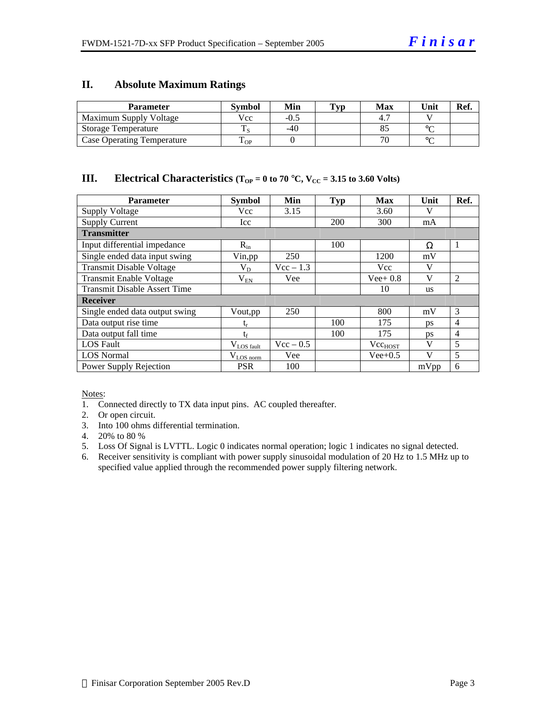#### **II. Absolute Maximum Ratings**

| <b>Parameter</b>                  | Svmbol | Min   | <b>Typ</b> | <b>Max</b> | Unit   | Ref. |
|-----------------------------------|--------|-------|------------|------------|--------|------|
| Maximum Supply Voltage            | Vcc    | -0.5  |            |            |        |      |
| Storage Temperature               |        | $-40$ |            |            | $\sim$ |      |
| <b>Case Operating Temperature</b> | OP     |       |            |            | $\sim$ |      |

## **III. Electrical Characteristics**  $(T_{OP} = 0 \text{ to } 70 \text{ °C}, V_{CC} = 3.15 \text{ to } 3.60 \text{ Volts})$

| <b>Parameter</b>                    | <b>Symbol</b>         | Min                | <b>Typ</b> | <b>Max</b>   | Unit      | Ref.           |
|-------------------------------------|-----------------------|--------------------|------------|--------------|-----------|----------------|
| <b>Supply Voltage</b>               | Vcc                   | 3.15               |            | 3.60         | V         |                |
| <b>Supply Current</b>               | Icc                   |                    | 200        | 300          | mA        |                |
| <b>Transmitter</b>                  |                       |                    |            |              |           |                |
| Input differential impedance        | $R_{in}$              |                    | 100        |              | Ω         | 1              |
| Single ended data input swing       | Vin, pp               | 250                |            | 1200         | mV        |                |
| <b>Transmit Disable Voltage</b>     | $\rm V_{D}$           | $Vec - 1.3$        |            | Vcc          | V         |                |
| <b>Transmit Enable Voltage</b>      | $\rm V_{EN}$          | Vee                |            | $Vee+0.8$    | V         | $\overline{2}$ |
| <b>Transmit Disable Assert Time</b> |                       |                    |            | 10           | <b>us</b> |                |
| <b>Receiver</b>                     |                       |                    |            |              |           |                |
| Single ended data output swing      | Vout,pp               | 250                |            | 800          | mV        | 3              |
| Data output rise time               | ւբ                    |                    | 100        | 175          | <b>DS</b> | $\overline{4}$ |
| Data output fall time               | tr                    |                    | 100        | 175          | ps        | $\overline{4}$ |
| <b>LOS</b> Fault                    | $V_{LOS\_fault}$      | $\text{Vcc} - 0.5$ |            | $Vec_{HOST}$ | V         | 5              |
| <b>LOS Normal</b>                   | $V_{\text{LOS norm}}$ | Vee                |            | $Vee+0.5$    | V         | 5              |
| Power Supply Rejection              | <b>PSR</b>            | 100                |            |              | mVpp      | 6              |

Notes:

1. Connected directly to TX data input pins. AC coupled thereafter.

2. Or open circuit.

- 3. Into 100 ohms differential termination.
- 4. 20% to 80 %
- 5. Loss Of Signal is LVTTL. Logic 0 indicates normal operation; logic 1 indicates no signal detected.
- 6. Receiver sensitivity is compliant with power supply sinusoidal modulation of 20 Hz to 1.5 MHz up to specified value applied through the recommended power supply filtering network.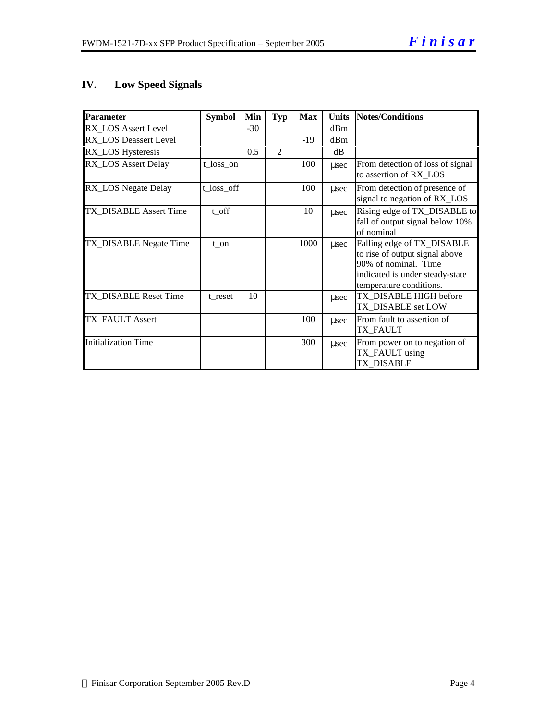## **IV. Low Speed Signals**

| Parameter                  | <b>Symbol</b> | Min   | Typ            | <b>Max</b> | <b>Units</b> | Notes/Conditions                                                                                                                                   |
|----------------------------|---------------|-------|----------------|------------|--------------|----------------------------------------------------------------------------------------------------------------------------------------------------|
| <b>RX LOS Assert Level</b> |               | $-30$ |                |            | dBm          |                                                                                                                                                    |
| RX_LOS Deassert Level      |               |       |                | $-19$      | dBm          |                                                                                                                                                    |
| RX_LOS Hysteresis          |               | 0.5   | $\overline{2}$ |            | dB           |                                                                                                                                                    |
| RX_LOS Assert Delay        | t_loss_on     |       |                | 100        | $\mu$ sec    | From detection of loss of signal<br>to assertion of RX_LOS                                                                                         |
| RX_LOS Negate Delay        | t_loss_off    |       |                | 100        | usec         | From detection of presence of<br>signal to negation of RX_LOS                                                                                      |
| TX_DISABLE Assert Time     | t off         |       |                | 10         | $\mu$ sec    | Rising edge of TX_DISABLE to<br>fall of output signal below 10%<br>of nominal                                                                      |
| TX_DISABLE Negate Time     | t on          |       |                | 1000       | $\mu$ sec    | Falling edge of TX_DISABLE<br>to rise of output signal above<br>90% of nominal. Time<br>indicated is under steady-state<br>temperature conditions. |
| TX DISABLE Reset Time      | t reset       | 10    |                |            | usec         | TX DISABLE HIGH before<br>TX_DISABLE set LOW                                                                                                       |
| TX_FAULT Assert            |               |       |                | 100        | usec         | From fault to assertion of<br><b>TX FAULT</b>                                                                                                      |
| <b>Initialization Time</b> |               |       |                | 300        | usec         | From power on to negation of<br>TX_FAULT using<br>TX DISABLE                                                                                       |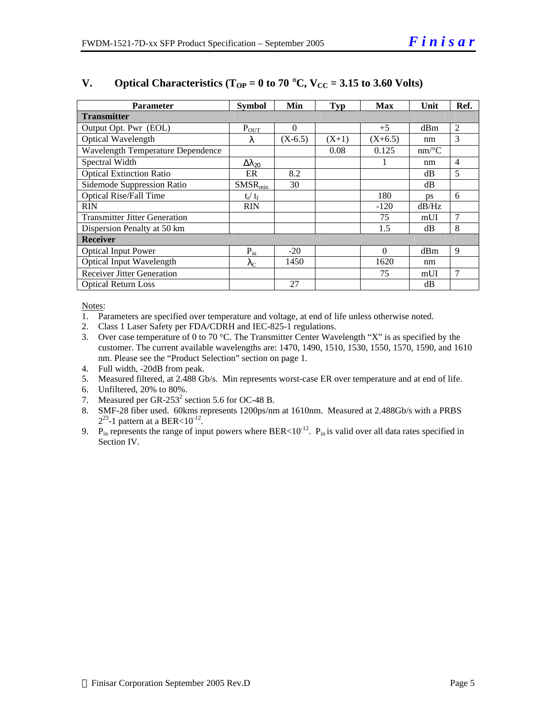| <b>Parameter</b>                     | <b>Symbol</b>        | Min       | <b>Typ</b> | <b>Max</b> | Unit     | Ref.           |
|--------------------------------------|----------------------|-----------|------------|------------|----------|----------------|
| <b>Transmitter</b>                   |                      |           |            |            |          |                |
| Output Opt. Pwr (EOL)                | $P_{OUT}$            | $\Omega$  |            | $+5$       | dBm      | $\overline{2}$ |
| Optical Wavelength                   | λ                    | $(X-6.5)$ | $(X+1)$    | $(X+6.5)$  | nm       | 3              |
| Wavelength Temperature Dependence    |                      |           | 0.08       | 0.125      | $nm$ /°C |                |
| Spectral Width                       | $\Delta\lambda_{20}$ |           |            |            | nm       | $\overline{4}$ |
| <b>Optical Extinction Ratio</b>      | ER                   | 8.2       |            |            | dB       | 5              |
| Sidemode Suppression Ratio           | SMSR <sub>min</sub>  | 30        |            |            | dB       |                |
| <b>Optical Rise/Fall Time</b>        | $t_r / t_f$          |           |            | 180        | ps       | 6              |
| <b>RIN</b>                           | <b>RIN</b>           |           |            | $-120$     | dB/Hz    |                |
| <b>Transmitter Jitter Generation</b> |                      |           |            | 75         | mUI      | $\overline{7}$ |
| Dispersion Penalty at 50 km          |                      |           |            | 1.5        | dB       | 8              |
| <b>Receiver</b>                      |                      |           |            |            |          |                |
| <b>Optical Input Power</b>           | $P_{in}$             | $-20$     |            | $\Omega$   | dBm      | 9              |
| <b>Optical Input Wavelength</b>      | $\lambda_{\rm C}$    | 1450      |            | 1620       | nm       |                |
| <b>Receiver Jitter Generation</b>    |                      |           |            | 75         | mUI      | $\overline{7}$ |
| <b>Optical Return Loss</b>           |                      | 27        |            |            | dB       |                |

## **V. Optical Characteristics (T<sub>OP</sub>** = 0 to 70 °C,  $V_{CC}$  = 3.15 to 3.60 Volts)

Notes:

1. Parameters are specified over temperature and voltage, at end of life unless otherwise noted.

2. Class 1 Laser Safety per FDA/CDRH and IEC-825-1 regulations.

- 3. Over case temperature of 0 to 70 °C. The Transmitter Center Wavelength "X" is as specified by the customer. The current available wavelengths are: 1470, 1490, 1510, 1530, 1550, 1570, 1590, and 1610 nm. Please see the "Product Selection" section on page 1.
- 4. Full width, -20dB from peak.

5. Measured filtered, at 2.488 Gb/s. Min represents worst-case ER over temperature and at end of life.

- 6. Unfiltered, 20% to 80%.
- 7. Measured per GR-253<sup>2</sup> section 5.6 for OC-48 B.
- 8. SMF-28 fiber used. 60kms represents 1200ps/nm at 1610nm. Measured at 2.488Gb/s with a PRBS  $2^{23}$ -1 pattern at a BER<10<sup>-12</sup>.
- 9. P<sub>in</sub> represents the range of input powers where BER<10<sup>-12</sup>. P<sub>in</sub> is valid over all data rates specified in Section IV.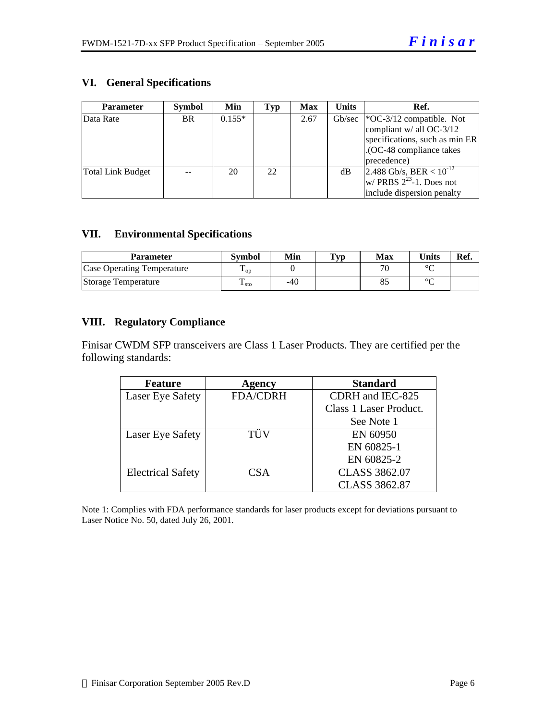## **VI. General Specifications**

| <b>Parameter</b>  | <b>Symbol</b> | Min      | Typ | <b>Max</b> | <b>Units</b> | Ref.                                 |
|-------------------|---------------|----------|-----|------------|--------------|--------------------------------------|
| Data Rate         | <b>BR</b>     | $0.155*$ |     | 2.67       |              | Gb/sec   $^*OC-3/12$ compatible. Not |
|                   |               |          |     |            |              | compliant $w/$ all OC-3/12           |
|                   |               |          |     |            |              | specifications, such as min ER       |
|                   |               |          |     |            |              | .(OC-48 compliance takes             |
|                   |               |          |     |            |              | precedence)                          |
| Total Link Budget |               | 20       | 22  |            | dВ           | 2.488 Gb/s, BER < $10^{-12}$         |
|                   |               |          |     |            |              | w/ PRBS $2^{23}$ -1. Does not        |
|                   |               |          |     |            |              | include dispersion penalty           |

## **VII. Environmental Specifications**

| <b>Parameter</b>                  | Svmbol               | Min | $\mathbf{T}_{\mathbf{V}\mathbf{p}}$ | Max | <b>Units</b> | Ref. |
|-----------------------------------|----------------------|-----|-------------------------------------|-----|--------------|------|
| <b>Case Operating Temperature</b> | Ē<br>$\mathbf{L}$ OD |     |                                     | 70  | $\sim$       |      |
| Storage Temperature               | ⊥ sto                | -40 |                                     |     | $\sim$       |      |

## **VIII. Regulatory Compliance**

Finisar CWDM SFP transceivers are Class 1 Laser Products. They are certified per the following standards:

| <b>Feature</b>           | Agency          | <b>Standard</b>        |
|--------------------------|-----------------|------------------------|
| Laser Eye Safety         | <b>FDA/CDRH</b> | CDRH and IEC-825       |
|                          |                 | Class 1 Laser Product. |
|                          |                 | See Note 1             |
| Laser Eye Safety         | TÜV             | EN 60950               |
|                          |                 | EN 60825-1             |
|                          |                 | EN 60825-2             |
| <b>Electrical Safety</b> | CSA             | <b>CLASS 3862.07</b>   |
|                          |                 | <b>CLASS 3862.87</b>   |

Note 1: Complies with FDA performance standards for laser products except for deviations pursuant to Laser Notice No. 50, dated July 26, 2001.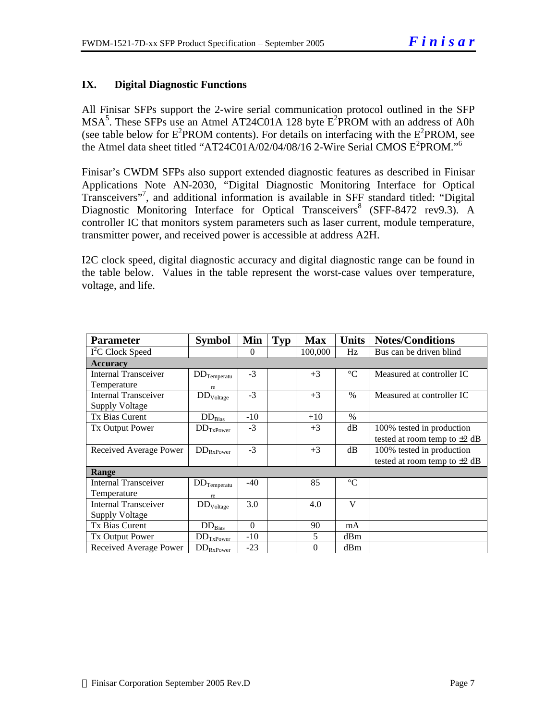## **IX. Digital Diagnostic Functions**

All Finisar SFPs support the 2-wire serial communication protocol outlined in the SFP  $MSA<sup>5</sup>$ . These SFPs use an Atmel AT24C01A 128 byte  $E<sup>2</sup>$ PROM with an address of A0h (see table below for  $E^2$ PROM contents). For details on interfacing with the  $E^2$ PROM, see the Atmel data sheet titled "AT24C01A/02/04/08/16 2-Wire Serial CMOS E<sup>2</sup>PROM."<sup>6</sup>

Finisar's CWDM SFPs also support extended diagnostic features as described in Finisar Applications Note AN-2030, "Digital Diagnostic Monitoring Interface for Optical Transceivers"<sup>7</sup> , and additional information is available in SFF standard titled: "Digital Diagnostic Monitoring Interface for Optical Transceivers<sup>8</sup> (SFF-8472 rev9.3). A controller IC that monitors system parameters such as laser current, module temperature, transmitter power, and received power is accessible at address A2H.

I2C clock speed, digital diagnostic accuracy and digital diagnostic range can be found in the table below. Values in the table represent the worst-case values over temperature, voltage, and life.

| <b>Parameter</b>             | <b>Symbol</b>            | Min      | Typ | <b>Max</b> | <b>Units</b>    | <b>Notes/Conditions</b>           |
|------------------------------|--------------------------|----------|-----|------------|-----------------|-----------------------------------|
| I <sup>2</sup> C Clock Speed |                          | $\theta$ |     | 100,000    | Hz              | Bus can be driven blind           |
| <b>Accuracy</b>              |                          |          |     |            |                 |                                   |
| <b>Internal Transceiver</b>  | $DD_{Temperature}$       | $-3$     |     | $+3$       | $\rm ^{\circ}C$ | Measured at controller IC         |
| Temperature                  | re                       |          |     |            |                 |                                   |
| Internal Transceiver         | $DD_{Voltage}$           | $-3$     |     | $+3$       | $\%$            | Measured at controller IC         |
| <b>Supply Voltage</b>        |                          |          |     |            |                 |                                   |
| Tx Bias Curent               | $DD_{Bias}$              | $-10$    |     | $+10$      | $\%$            |                                   |
| <b>Tx Output Power</b>       | $DD_{TxPower}$           | $-3$     |     | $+3$       | dB              | 100% tested in production         |
|                              |                          |          |     |            |                 | tested at room temp to $\pm 2$ dB |
| Received Average Power       | $\rm{DD}_{\rm{RxPower}}$ | $-3$     |     | $+3$       | dB              | 100% tested in production         |
|                              |                          |          |     |            |                 | tested at room temp to $\pm 2$ dB |
| Range                        |                          |          |     |            |                 |                                   |
| Internal Transceiver         | $DD_{Temperature}$       | -40      |     | 85         | $\rm ^{\circ}C$ |                                   |
| Temperature                  | re                       |          |     |            |                 |                                   |
| <b>Internal Transceiver</b>  | $\rm{DD}_{\rm{Voltage}}$ | 3.0      |     | 4.0        | V               |                                   |
| Supply Voltage               |                          |          |     |            |                 |                                   |
| Tx Bias Curent               | $DD_{Bias}$              | $\theta$ |     | 90         | mA              |                                   |
| <b>Tx Output Power</b>       | $DD_{TxPower}$           | $-10$    |     | 5          | dBm             |                                   |
| Received Average Power       | $DD_{RxPower}$           | $-23$    |     | $\Omega$   | dBm             |                                   |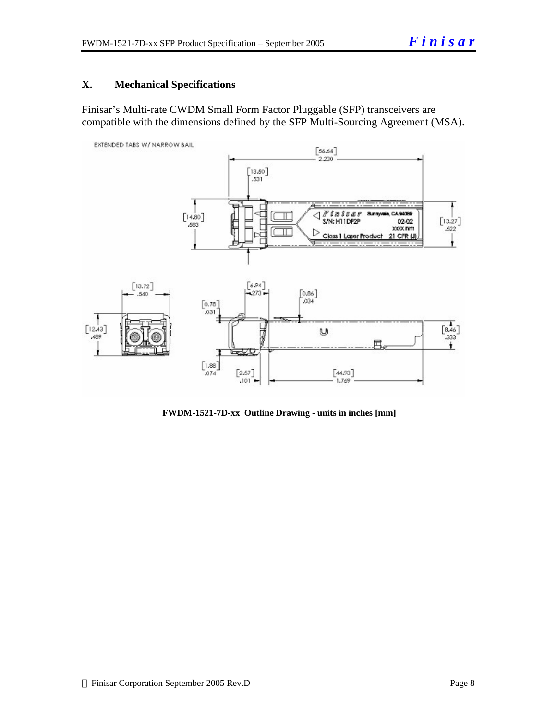## **X. Mechanical Specifications**

Finisar's Multi-rate CWDM Small Form Factor Pluggable (SFP) transceivers are compatible with the dimensions defined by the SFP Multi-Sourcing Agreement (MSA).



 **FWDM-1521-7D-xx Outline Drawing - units in inches [mm]**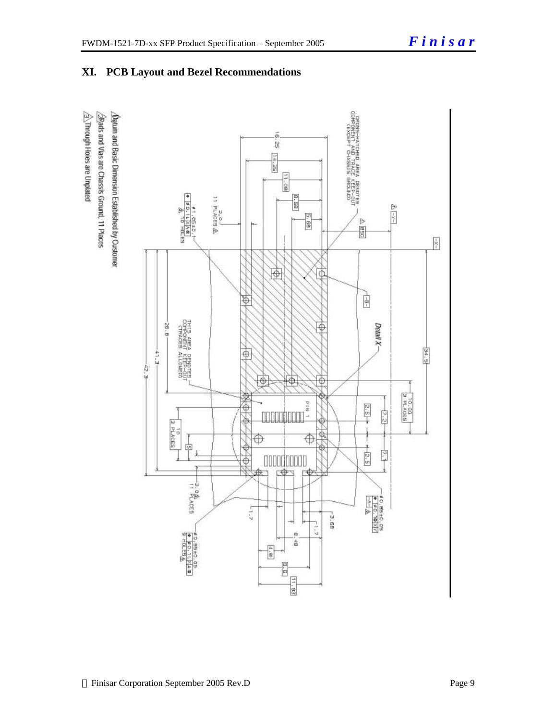

## **XI. PCB Layout and Bezel Recommendations**

 $\hat{\triangle}$ . Through Holes are Unplated Brads and Vias are Chassis Ground, 11 Places /Datum and Basic Dimension Established by Customer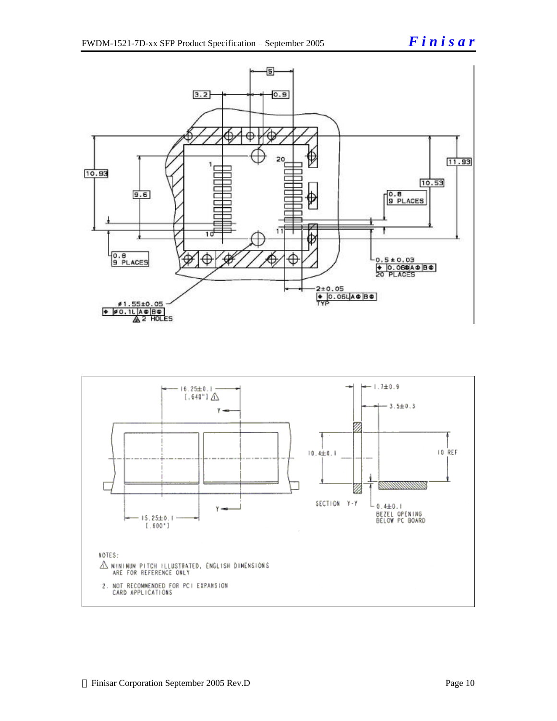